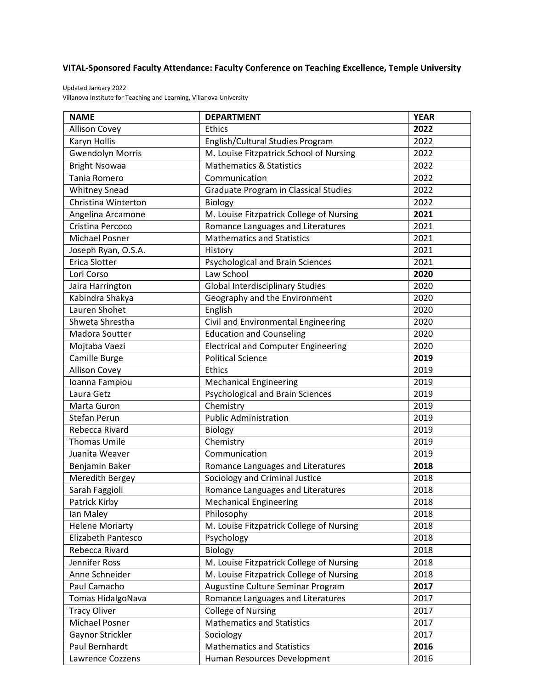## **VITAL-Sponsored Faculty Attendance: Faculty Conference on Teaching Excellence, Temple University**

Updated January 2022 Villanova Institute for Teaching and Learning, Villanova University

| <b>NAME</b>               | <b>DEPARTMENT</b>                            | <b>YEAR</b> |
|---------------------------|----------------------------------------------|-------------|
| <b>Allison Covey</b>      | Ethics                                       | 2022        |
| Karyn Hollis              | English/Cultural Studies Program             | 2022        |
| Gwendolyn Morris          | M. Louise Fitzpatrick School of Nursing      | 2022        |
| <b>Bright Nsowaa</b>      | <b>Mathematics &amp; Statistics</b>          | 2022        |
| Tania Romero              | Communication                                | 2022        |
| <b>Whitney Snead</b>      | <b>Graduate Program in Classical Studies</b> | 2022        |
| Christina Winterton       | <b>Biology</b>                               | 2022        |
| Angelina Arcamone         | M. Louise Fitzpatrick College of Nursing     | 2021        |
| Cristina Percoco          | Romance Languages and Literatures            | 2021        |
| <b>Michael Posner</b>     | <b>Mathematics and Statistics</b>            | 2021        |
| Joseph Ryan, O.S.A.       | History                                      | 2021        |
| Erica Slotter             | Psychological and Brain Sciences             | 2021        |
| Lori Corso                | Law School                                   | 2020        |
| Jaira Harrington          | <b>Global Interdisciplinary Studies</b>      | 2020        |
| Kabindra Shakya           | Geography and the Environment                | 2020        |
| Lauren Shohet             | English                                      | 2020        |
| Shweta Shrestha           | Civil and Environmental Engineering          | 2020        |
| Madora Soutter            | <b>Education and Counseling</b>              | 2020        |
| Mojtaba Vaezi             | <b>Electrical and Computer Engineering</b>   | 2020        |
| Camille Burge             | <b>Political Science</b>                     | 2019        |
| <b>Allison Covey</b>      | Ethics                                       | 2019        |
| Ioanna Fampiou            | <b>Mechanical Engineering</b>                | 2019        |
| Laura Getz                | <b>Psychological and Brain Sciences</b>      | 2019        |
| Marta Guron               | Chemistry                                    | 2019        |
| <b>Stefan Perun</b>       | <b>Public Administration</b>                 | 2019        |
| Rebecca Rivard            | <b>Biology</b>                               | 2019        |
| <b>Thomas Umile</b>       | Chemistry                                    | 2019        |
| Juanita Weaver            | Communication                                | 2019        |
| Benjamin Baker            | Romance Languages and Literatures            | 2018        |
| Meredith Bergey           | Sociology and Criminal Justice               | 2018        |
| Sarah Faggioli            | Romance Languages and Literatures            | 2018        |
| <b>Patrick Kirby</b>      | <b>Mechanical Engineering</b>                | 2018        |
| Ian Maley                 | Philosophy                                   | 2018        |
| <b>Helene Moriarty</b>    | M. Louise Fitzpatrick College of Nursing     | 2018        |
| <b>Elizabeth Pantesco</b> | Psychology                                   | 2018        |
| Rebecca Rivard            | Biology                                      | 2018        |
| Jennifer Ross             | M. Louise Fitzpatrick College of Nursing     | 2018        |
| Anne Schneider            | M. Louise Fitzpatrick College of Nursing     | 2018        |
| Paul Camacho              | Augustine Culture Seminar Program            | 2017        |
| Tomas HidalgoNava         | Romance Languages and Literatures            | 2017        |
| <b>Tracy Oliver</b>       | <b>College of Nursing</b>                    | 2017        |
| Michael Posner            | <b>Mathematics and Statistics</b>            | 2017        |
| Gaynor Strickler          | Sociology                                    | 2017        |
| Paul Bernhardt            | <b>Mathematics and Statistics</b>            | 2016        |
| Lawrence Cozzens          | Human Resources Development                  | 2016        |